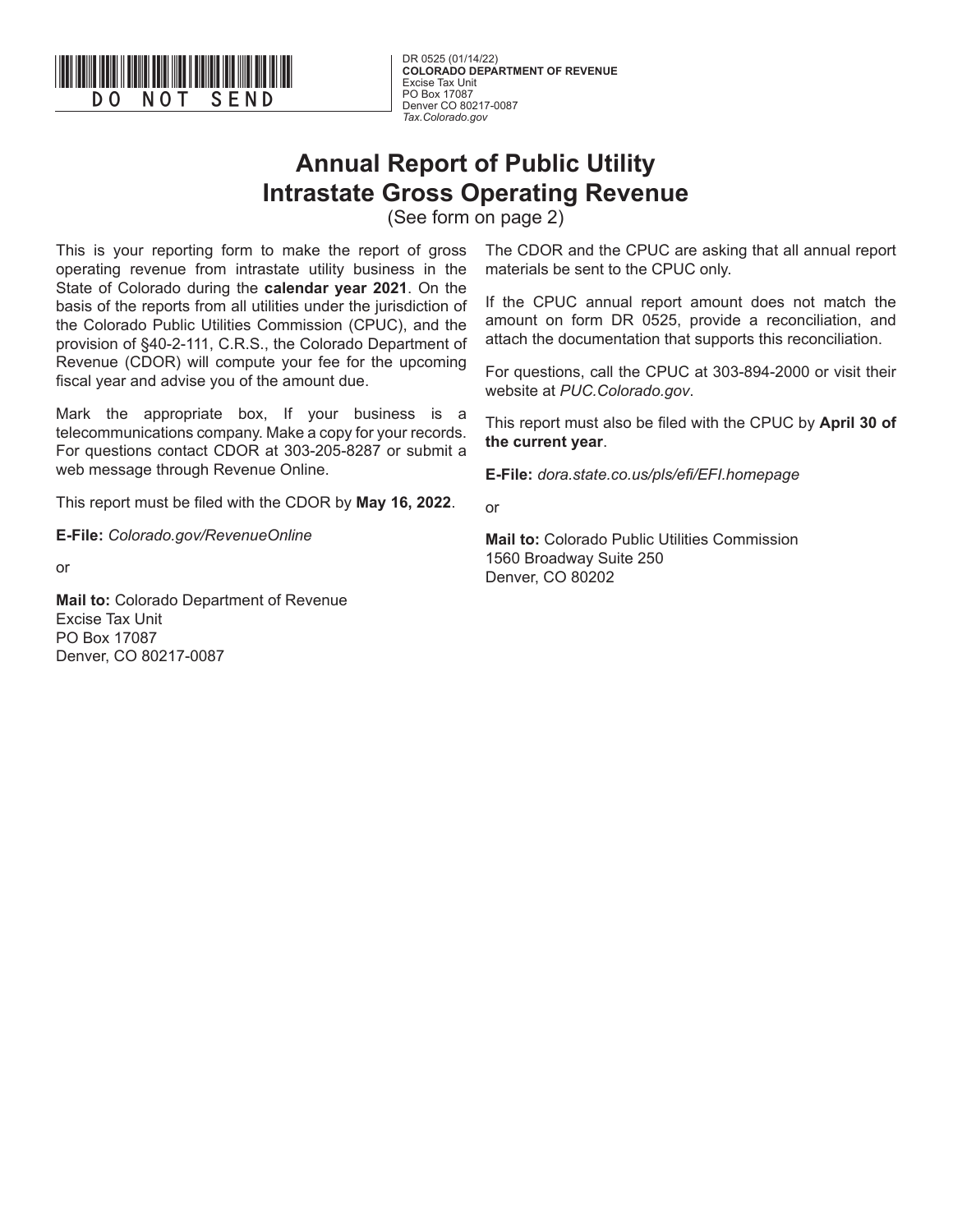

**COLORADO DEPARTMENT OF REVENUE** Excise Tax Unit PO Box 17087 Denver CO 80217-0087 *Tax.Colorado.gov*

## **Annual Report of Public Utility Intrastate Gross Operating Revenue**

(See form on page 2)

This is your reporting form to make the report of gross operating revenue from intrastate utility business in the State of Colorado during the **calendar year 2021**. On the basis of the reports from all utilities under the jurisdiction of the Colorado Public Utilities Commission (CPUC), and the provision of §40-2-111, C.R.S., the Colorado Department of Revenue (CDOR) will compute your fee for the upcoming fiscal year and advise you of the amount due.

Mark the appropriate box, If your business is a telecommunications company. Make a copy for your records. For questions contact CDOR at 303-205-8287 or submit a web message through Revenue Online.

This report must be filed with the CDOR by **May 16, 2022**.

**E-File:** *Colorado.gov/RevenueOnline*

or

**Mail to:** Colorado Department of Revenue Excise Tax Unit PO Box 17087 Denver, CO 80217-0087

The CDOR and the CPUC are asking that all annual report materials be sent to the CPUC only.

If the CPUC annual report amount does not match the amount on form DR 0525, provide a reconciliation, and attach the documentation that supports this reconciliation.

For questions, call the CPUC at 303-894-2000 or visit their website at *PUC.Colorado.gov*.

This report must also be filed with the CPUC by **April 30 of the current year**.

**E-File:** *dora.state.co.us/pls/efi/EFI.homepage*

or

**Mail to:** Colorado Public Utilities Commission 1560 Broadway Suite 250 Denver, CO 80202